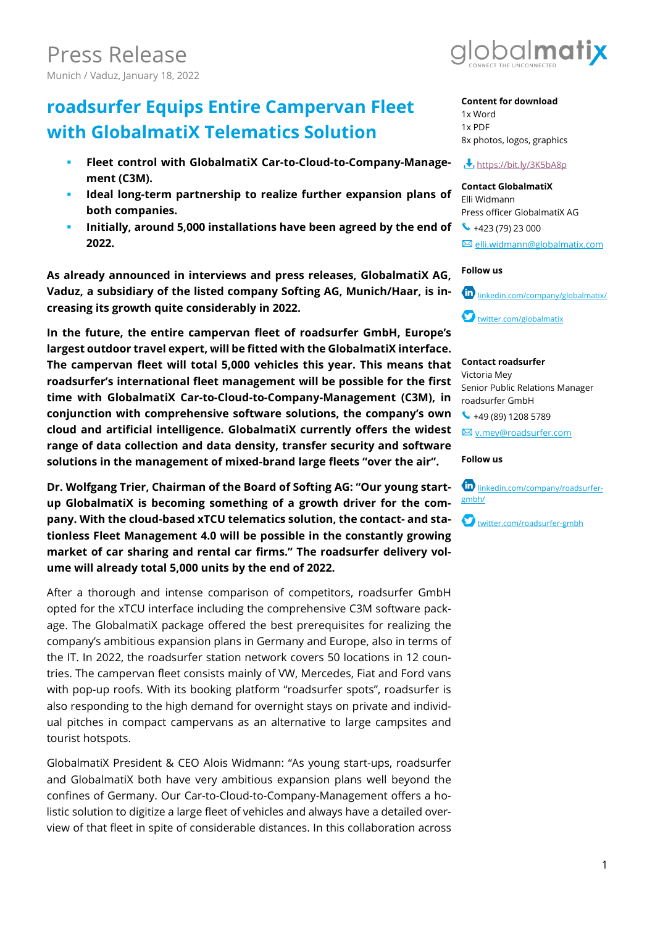## **roadsurfer Equips Entire Campervan Fleet with GlobalmatiX Telematics Solution**

- **Fleet control with GlobalmatiX Car-to-Cloud-to-Company-Management (C3M).**
- **Ideal long-term partnership to realize further expansion plans of both companies.**
- **Initially, around 5,000 installations have been agreed by the end of 2022.**

**As already announced in interviews and press releases, GlobalmatiX AG, Vaduz, a subsidiary of the listed company Softing AG, Munich/Haar, is increasing its growth quite considerably in 2022.**

**In the future, the entire campervan fleet of roadsurfer GmbH, Europe's largest outdoor travel expert, will be fitted with the GlobalmatiX interface. The campervan fleet will total 5,000 vehicles this year. This means that roadsurfer's international fleet management will be possible for the first time with GlobalmatiX Car-to-Cloud-to-Company-Management (C3M), in conjunction with comprehensive software solutions, the company's own cloud and artificial intelligence. GlobalmatiX currently offers the widest range of data collection and data density, transfer security and software solutions in the management of mixed-brand large fleets "over the air".** 

**Dr. Wolfgang Trier, Chairman of the Board of Softing AG: "Our young startup GlobalmatiX is becoming something of a growth driver for the company. With the cloud-based xTCU telematics solution, the contact- and stationless Fleet Management 4.0 will be possible in the constantly growing market of car sharing and rental car firms." The roadsurfer delivery volume will already total 5,000 units by the end of 2022.**

After a thorough and intense comparison of competitors, roadsurfer GmbH opted for the xTCU interface including the comprehensive C3M software package. The GlobalmatiX package offered the best prerequisites for realizing the company's ambitious expansion plans in Germany and Europe, also in terms of the IT. In 2022, the roadsurfer station network covers 50 locations in 12 countries. The campervan fleet consists mainly of VW, Mercedes, Fiat and Ford vans with pop-up roofs. With its booking platform "roadsurfer spots", roadsurfer is also responding to the high demand for overnight stays on private and individual pitches in compact campervans as an alternative to large campsites and tourist hotspots.

GlobalmatiX President & CEO Alois Widmann: "As young start-ups, roadsurfer and GlobalmatiX both have very ambitious expansion plans well beyond the confines of Germany. Our Car-to-Cloud-to-Company-Management offers a holistic solution to digitize a large fleet of vehicles and always have a detailed overview of that fleet in spite of considerable distances. In this collaboration across



#### **Content for download** 1x Word 1x PDF 8x photos, logos, graphics

#### **<https://bit.ly/3K5bA8p>**

**Contact GlobalmatiX** Elli Widmann Press officer GlobalmatiX AG  $\bullet$  +423 (79) 23 000

[elli.widmann@globalmatix.com](mailto:elli.widmann@globalmatix.com)

#### **Follow us**



#### **Contact roadsurfer**

Victoria Mey Senior Public Relations Manager roadsurfer GmbH  $\leftarrow$  +49 (89) 1208 5789

[v.mey@roadsurfer.com](mailto:victoria.mey@roadsurfer.com)

#### **Follow us**



[twitter.com/roadsurfer-gmbh](https://twitter.com/globalmatix)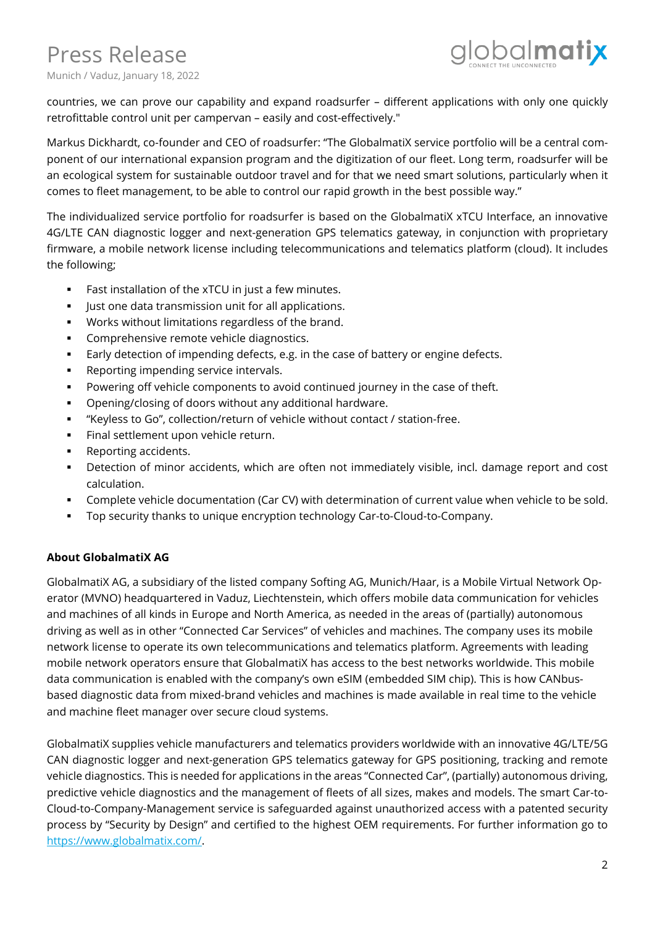# Press Release



Munich / Vaduz, January 18, 2022

countries, we can prove our capability and expand roadsurfer – different applications with only one quickly retrofittable control unit per campervan – easily and cost-effectively."

Markus Dickhardt, co-founder and CEO of roadsurfer: "The GlobalmatiX service portfolio will be a central component of our international expansion program and the digitization of our fleet. Long term, roadsurfer will be an ecological system for sustainable outdoor travel and for that we need smart solutions, particularly when it comes to fleet management, to be able to control our rapid growth in the best possible way."

The individualized service portfolio for roadsurfer is based on the GlobalmatiX xTCU Interface, an innovative 4G/LTE CAN diagnostic logger and next-generation GPS telematics gateway, in conjunction with proprietary firmware, a mobile network license including telecommunications and telematics platform (cloud). It includes the following;

- Fast installation of the xTCU in just a few minutes.
- Just one data transmission unit for all applications.
- Works without limitations regardless of the brand.
- **•** Comprehensive remote vehicle diagnostics.
- Early detection of impending defects, e.g. in the case of battery or engine defects.
- Reporting impending service intervals.
- Powering off vehicle components to avoid continued journey in the case of theft.
- Opening/closing of doors without any additional hardware.
- "Keyless to Go", collection/return of vehicle without contact / station-free.
- Final settlement upon vehicle return.
- Reporting accidents.
- **•** Detection of minor accidents, which are often not immediately visible, incl. damage report and cost calculation.
- Complete vehicle documentation (Car CV) with determination of current value when vehicle to be sold.
- Top security thanks to unique encryption technology Car-to-Cloud-to-Company.

## **About GlobalmatiX AG**

GlobalmatiX AG, a subsidiary of the listed company Softing AG, Munich/Haar, is a Mobile Virtual Network Operator (MVNO) headquartered in Vaduz, Liechtenstein, which offers mobile data communication for vehicles and machines of all kinds in Europe and North America, as needed in the areas of (partially) autonomous driving as well as in other "Connected Car Services" of vehicles and machines. The company uses its mobile network license to operate its own telecommunications and telematics platform. Agreements with leading mobile network operators ensure that GlobalmatiX has access to the best networks worldwide. This mobile data communication is enabled with the company's own eSIM (embedded SIM chip). This is how CANbusbased diagnostic data from mixed-brand vehicles and machines is made available in real time to the vehicle and machine fleet manager over secure cloud systems.

GlobalmatiX supplies vehicle manufacturers and telematics providers worldwide with an innovative 4G/LTE/5G CAN diagnostic logger and next-generation GPS telematics gateway for GPS positioning, tracking and remote vehicle diagnostics. This is needed for applications in the areas "Connected Car", (partially) autonomous driving, predictive vehicle diagnostics and the management of fleets of all sizes, makes and models. The smart Car-to-Cloud-to-Company-Management service is safeguarded against unauthorized access with a patented security process by "Security by Design" and certified to the highest OEM requirements. For further information go to [https://www.globalmatix.com/.](https://www.globalmatix.com/)